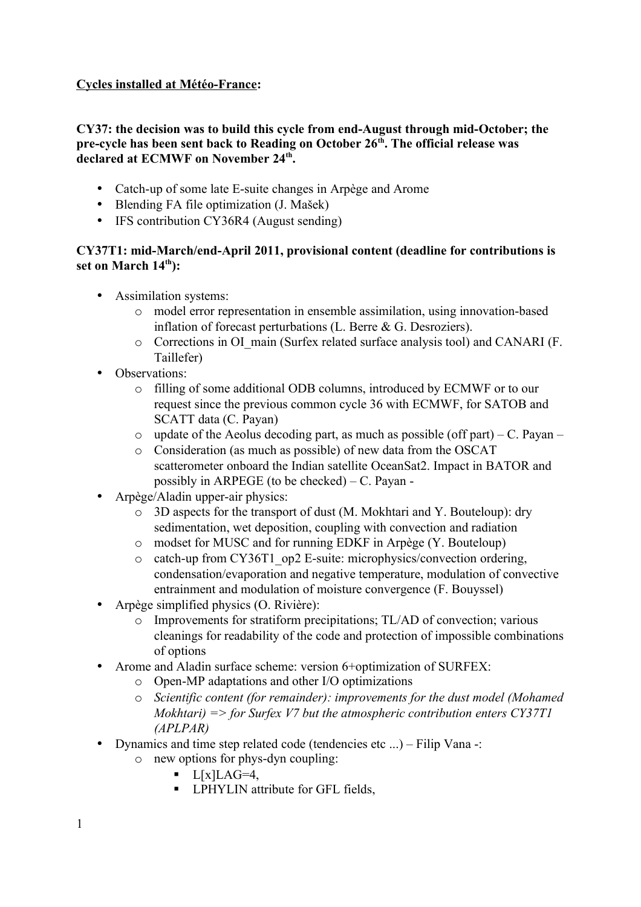# **Cycles installed at Météo-France:**

## **CY37: the decision was to build this cycle from end-August through mid-October; the pre-cycle has been sent back to Reading on October 26th. The official release was declared at ECMWF on November 24th .**

- Catch-up of some late E-suite changes in Arpège and Arome
- Blending FA file optimization (J. Mašek)
- IFS contribution CY36R4 (August sending)

## **CY37T1: mid-March/end-April 2011, provisional content (deadline for contributions is set on March 14th):**

- Assimilation systems:
	- o model error representation in ensemble assimilation, using innovation-based inflation of forecast perturbations (L. Berre & G. Desroziers).
	- o Corrections in OI\_main (Surfex related surface analysis tool) and CANARI (F. Taillefer)
- Observations:
	- o filling of some additional ODB columns, introduced by ECMWF or to our request since the previous common cycle 36 with ECMWF, for SATOB and SCATT data (C. Payan)
	- $\circ$  update of the Aeolus decoding part, as much as possible (off part) C. Payan –
	- o Consideration (as much as possible) of new data from the OSCAT scatterometer onboard the Indian satellite OceanSat2. Impact in BATOR and possibly in ARPEGE (to be checked) – C. Payan -
- Arpège/Aladin upper-air physics:
	- o 3D aspects for the transport of dust (M. Mokhtari and Y. Bouteloup): dry sedimentation, wet deposition, coupling with convection and radiation
	- o modset for MUSC and for running EDKF in Arpège (Y. Bouteloup)
	- o catch-up from CY36T1\_op2 E-suite: microphysics/convection ordering, condensation/evaporation and negative temperature, modulation of convective entrainment and modulation of moisture convergence (F. Bouyssel)
- Arpège simplified physics (O. Rivière):
	- o Improvements for stratiform precipitations; TL/AD of convection; various cleanings for readability of the code and protection of impossible combinations of options
- Arome and Aladin surface scheme: version 6+optimization of SURFEX:
	- o Open-MP adaptations and other I/O optimizations
	- o *Scientific content (for remainder): improvements for the dust model (Mohamed Mokhtari) => for Surfex V7 but the atmospheric contribution enters CY37T1 (APLPAR)*
- Dynamics and time step related code (tendencies etc ...) Filip Vana -:
	- o new options for phys-dyn coupling:
		- $\blacksquare$  L[x]LAG=4,
		- **•** LPHYLIN attribute for GFL fields,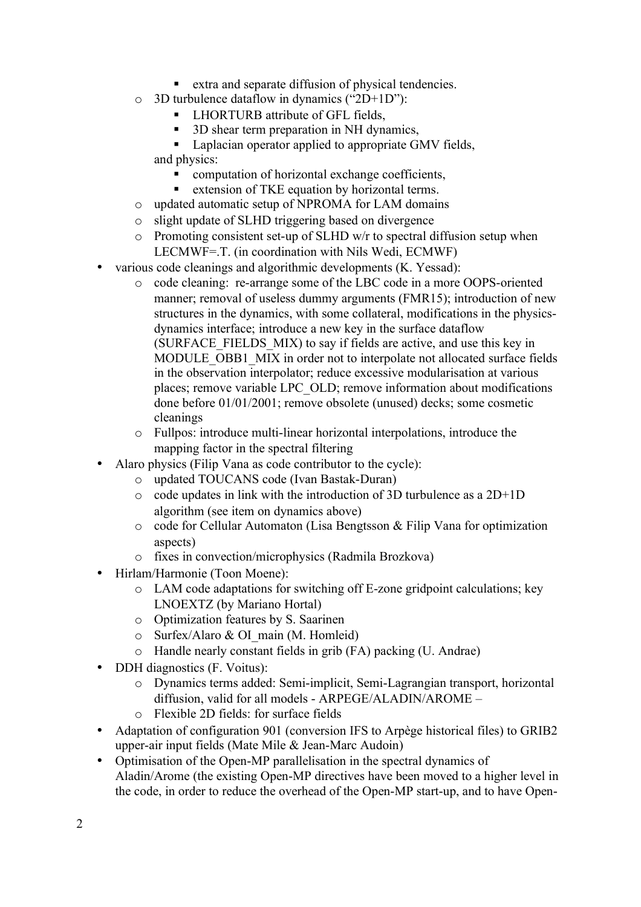- extra and separate diffusion of physical tendencies.
- o 3D turbulence dataflow in dynamics ("2D+1D"):
	- LHORTURB attribute of GFL fields.
	- 3D shear term preparation in NH dynamics,
	- Laplacian operator applied to appropriate GMV fields, and physics:
		- computation of horizontal exchange coefficients,
		- extension of TKE equation by horizontal terms.
- o updated automatic setup of NPROMA for LAM domains
- o slight update of SLHD triggering based on divergence
- o Promoting consistent set-up of SLHD w/r to spectral diffusion setup when LECMWF=.T. (in coordination with Nils Wedi, ECMWF)
- various code cleanings and algorithmic developments (K. Yessad):
	- o code cleaning: re-arrange some of the LBC code in a more OOPS-oriented manner; removal of useless dummy arguments (FMR15); introduction of new structures in the dynamics, with some collateral, modifications in the physicsdynamics interface; introduce a new key in the surface dataflow (SURFACE\_FIELDS\_MIX) to say if fields are active, and use this key in MODULE\_OBB1\_MIX in order not to interpolate not allocated surface fields in the observation interpolator; reduce excessive modularisation at various places; remove variable LPC\_OLD; remove information about modifications done before 01/01/2001; remove obsolete (unused) decks; some cosmetic cleanings
	- o Fullpos: introduce multi-linear horizontal interpolations, introduce the mapping factor in the spectral filtering
- Alaro physics (Filip Vana as code contributor to the cycle):
	- o updated TOUCANS code (Ivan Bastak-Duran)
	- o code updates in link with the introduction of 3D turbulence as a 2D+1D algorithm (see item on dynamics above)
	- o code for Cellular Automaton (Lisa Bengtsson & Filip Vana for optimization aspects)
	- o fixes in convection/microphysics (Radmila Brozkova)
- Hirlam/Harmonie (Toon Moene):
	- o LAM code adaptations for switching off E-zone gridpoint calculations; key LNOEXTZ (by Mariano Hortal)
	- o Optimization features by S. Saarinen
	- o Surfex/Alaro & OI\_main (M. Homleid)
	- o Handle nearly constant fields in grib (FA) packing (U. Andrae)
- DDH diagnostics (F. Voitus):
	- o Dynamics terms added: Semi-implicit, Semi-Lagrangian transport, horizontal diffusion, valid for all models - ARPEGE/ALADIN/AROME –
	- o Flexible 2D fields: for surface fields
- Adaptation of configuration 901 (conversion IFS to Arpège historical files) to GRIB2 upper-air input fields (Mate Mile & Jean-Marc Audoin)
- Optimisation of the Open-MP parallelisation in the spectral dynamics of Aladin/Arome (the existing Open-MP directives have been moved to a higher level in the code, in order to reduce the overhead of the Open-MP start-up, and to have Open-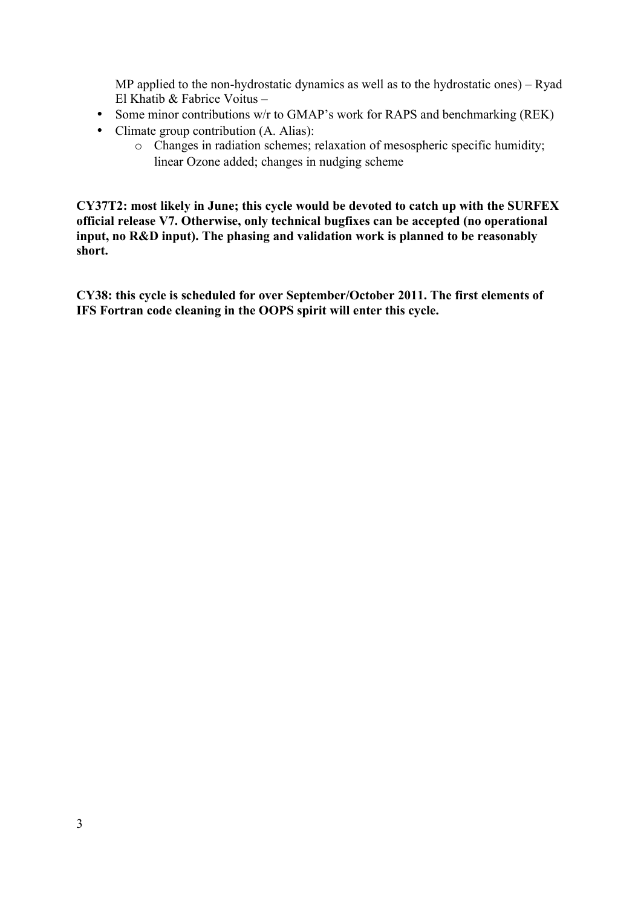MP applied to the non-hydrostatic dynamics as well as to the hydrostatic ones) – Ryad El Khatib & Fabrice Voitus –

- Some minor contributions w/r to GMAP's work for RAPS and benchmarking (REK)
- Climate group contribution (A. Alias):
	- o Changes in radiation schemes; relaxation of mesospheric specific humidity; linear Ozone added; changes in nudging scheme

**CY37T2: most likely in June; this cycle would be devoted to catch up with the SURFEX official release V7. Otherwise, only technical bugfixes can be accepted (no operational input, no R&D input). The phasing and validation work is planned to be reasonably short.**

**CY38: this cycle is scheduled for over September/October 2011. The first elements of IFS Fortran code cleaning in the OOPS spirit will enter this cycle.**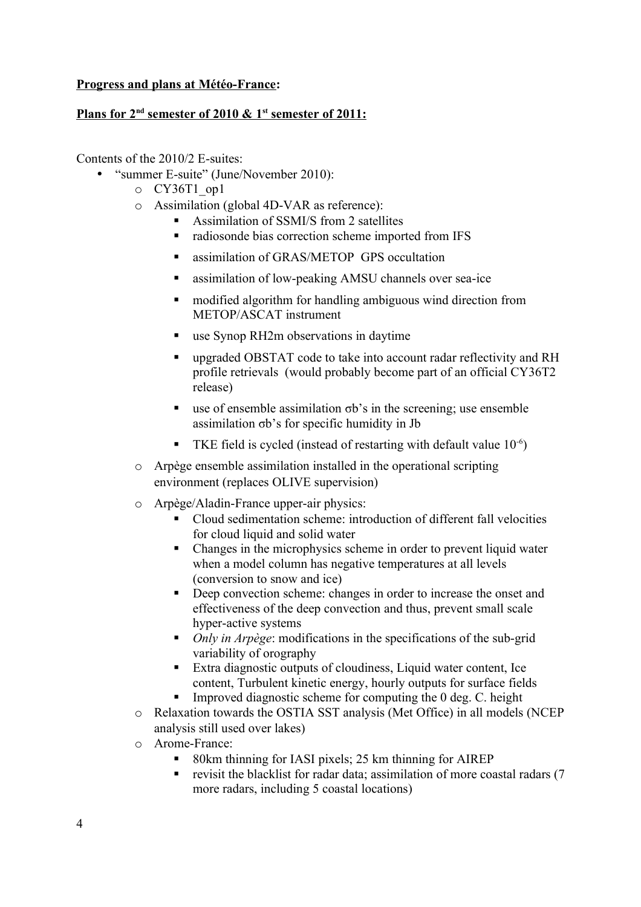### **Progress and plans at Météo-France:**

#### **Plans for 2<sup>nd</sup> semester of 2010 & 1<sup>st</sup> semester of 2011:**

Contents of the 2010/2 E-suites:

- "summer E-suite" (June/November 2010):
	- o CY36T1\_op1
	- o Assimilation (global 4D-VAR as reference):
		- Assimilation of SSMI/S from 2 satellites
		- radiosonde bias correction scheme imported from IFS
		- assimilation of GRAS/METOP GPS occultation
		- assimilation of low-peaking AMSU channels over sea-ice
		- **modified algorithm for handling ambiguous wind direction from** METOP/ASCAT instrument
		- use Synop RH2m observations in daytime
		- upgraded OBSTAT code to take into account radar reflectivity and RH profile retrievals (would probably become part of an official CY36T2 release)
		- use of ensemble assimilation  $\sigma b$ 's in the screening; use ensemble assimilation σb's for specific humidity in Jb
		- **TKE field is cycled (instead of restarting with default value**  $10^{-6}$ **)**
	- o Arpège ensemble assimilation installed in the operational scripting environment (replaces OLIVE supervision)
	- o Arpège/Aladin-France upper-air physics:
		- Cloud sedimentation scheme: introduction of different fall velocities for cloud liquid and solid water
		- Changes in the microphysics scheme in order to prevent liquid water when a model column has negative temperatures at all levels (conversion to snow and ice)
		- Deep convection scheme: changes in order to increase the onset and effectiveness of the deep convection and thus, prevent small scale hyper-active systems
		- *Only in Arpège*: modifications in the specifications of the sub-grid variability of orography
		- Extra diagnostic outputs of cloudiness, Liquid water content, Ice content, Turbulent kinetic energy, hourly outputs for surface fields
		- Improved diagnostic scheme for computing the  $\theta$  deg. C. height
	- o Relaxation towards the OSTIA SST analysis (Met Office) in all models (NCEP analysis still used over lakes)
	- o Arome-France:
		- 80km thinning for IASI pixels; 25 km thinning for AIREP
		- revisit the blacklist for radar data; assimilation of more coastal radars (7 more radars, including 5 coastal locations)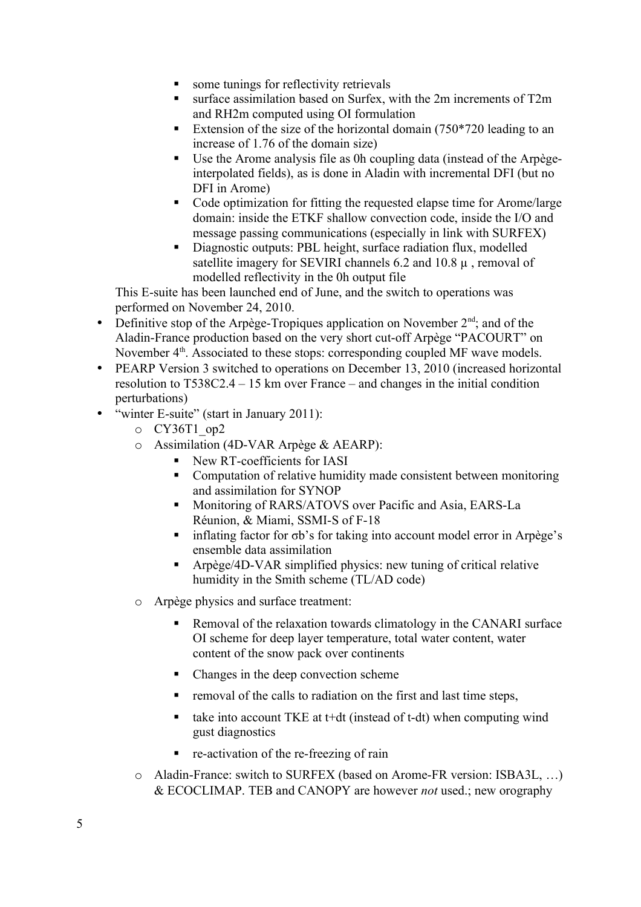- some tunings for reflectivity retrievals
- surface assimilation based on Surfex, with the 2m increments of T2m and RH2m computed using OI formulation
- Extension of the size of the horizontal domain  $(750*720)$  leading to an increase of 1.76 of the domain size)
- Use the Arome analysis file as 0h coupling data (instead of the Arpègeinterpolated fields), as is done in Aladin with incremental DFI (but no DFI in Arome)
- Code optimization for fitting the requested elapse time for Arome/large domain: inside the ETKF shallow convection code, inside the I/O and message passing communications (especially in link with SURFEX)
- Diagnostic outputs: PBL height, surface radiation flux, modelled satellite imagery for SEVIRI channels 6.2 and 10.8  $\mu$ , removal of modelled reflectivity in the 0h output file

This E-suite has been launched end of June, and the switch to operations was performed on November 24, 2010.

- Definitive stop of the Arpège-Tropiques application on November  $2<sup>nd</sup>$ ; and of the Aladin-France production based on the very short cut-off Arpège "PACOURT" on November 4<sup>th</sup>. Associated to these stops: corresponding coupled MF wave models.
- PEARP Version 3 switched to operations on December 13, 2010 (increased horizontal resolution to T538C2.4 – 15 km over France – and changes in the initial condition perturbations)
- "winter E-suite" (start in January 2011):
	- o CY36T1\_op2
	- o Assimilation (4D-VAR Arpège & AEARP):
		- New RT-coefficients for IASI
		- Computation of relative humidity made consistent between monitoring and assimilation for SYNOP
		- **Monitoring of RARS/ATOVS over Pacific and Asia, EARS-La** Réunion, & Miami, SSMI-S of F-18
		- inflating factor for σb's for taking into account model error in Arpège's ensemble data assimilation
		- Arpège/4D-VAR simplified physics: new tuning of critical relative humidity in the Smith scheme (TL/AD code)
	- o Arpège physics and surface treatment:
		- Removal of the relaxation towards climatology in the CANARI surface OI scheme for deep layer temperature, total water content, water content of the snow pack over continents
		- Changes in the deep convection scheme
		- removal of the calls to radiation on the first and last time steps,
		- take into account TKE at t+dt (instead of t-dt) when computing wind gust diagnostics
		- re-activation of the re-freezing of rain
	- o Aladin-France: switch to SURFEX (based on Arome-FR version: ISBA3L, …) & ECOCLIMAP. TEB and CANOPY are however *not* used.; new orography